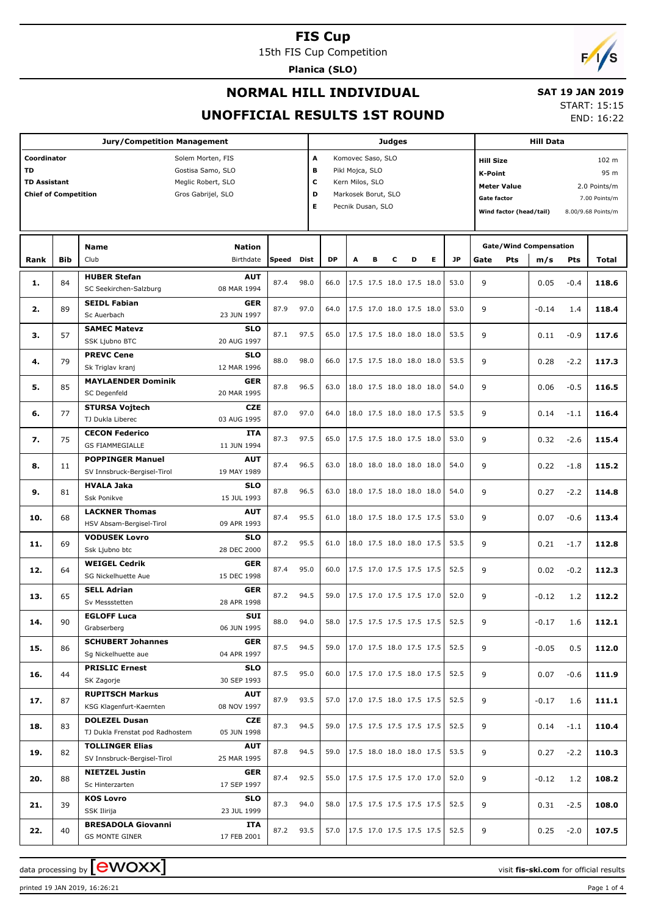15th FIS Cup Competition

**Planica (SLO)**



## **NORMAL HILL INDIVIDUAL UNOFFICIAL RESULTS 1ST ROUND**

#### **SAT 19 JAN 2019**

START: 15:15 END: 16:22

#### **Jury/Competition Management Coordinator** Solem Morten, FIS **TD** Gostisa Samo, SLO **TD Assistant** Meglic Robert, SLO **Chief of Competition** Gros Gabrijel, SLO **Judges A** Komovec Saso, SLO **B** Pikl Mojca, SLO **C** Kern Milos, SLO **D** Markosek Borut, SLO **E** Pecnik Dusan, SLO **Hill Data K-Point** 95 m **Hill Size** 102 m **Meter Value** 2.0 Points/m Gate factor **6** and 7.00 Points/m **Wind factor (head/tail)** 8.00/9.68 Points/m **Bib Name** Club Birthdate **Nation Rank Speed Dist DP A B C D E JP m/s Pts Total Gate/Wind Compensation Gate Pts HUBER Stefan** SC Seekirchen-Salzburg **AUT** 08 MAR 1994 **1.** 84 87.4 98.0 66.0 17.5 17.5 18.0 17.5 18.0 53.0 9 0.05 -0.4 **118.6 SEIDL Fabian** Sc Auerbach **GER** 23 JUN 1997 **2.** 89 87.9 97.0 64.0 17.5 17.0 18.0 17.5 18.0 53.0 9 -0.14 1.4 **118.4 SAMEC Matevz** SSK Ljubno BTC **SLO** 20 AUG 1997 **3.** 57 87.1 97.5 65.0 17.5 17.5 18.0 18.0 18.0 53.5 9 0.11 -0.9 **117.6 PREVC Cene** Sk Triglav kranj **SLO** 12 MAR 1996 **4.**  $\begin{bmatrix} 79 \end{bmatrix}$  **PREVC Cene 50.0 53.0 88.0 88.0 68.0 17.5 17.5 18.0 18.0 18.0 18.0 18.0 18.0 18.0 18.0 18.0 18.0 18.0 18.0 18.0 18.0 18.0 18.0 18.0 18.0 18.0 18. MAYLAENDER Dominik** SC Degenfeld **GER** 20 MAR 1995 **5.** 85 87.8 96.5 63.0 18.0 17.5 18.0 18.0 18.0 18.0 54.0 9 0.06 -0.5 116.5 **STURSA Vojtech** TJ Dukla Liberec **CZE** 03 AUG 1995 **6.** 77 **810K3A VOJLECTIC <b>CLUBE** 87.0 97.0 64.0 18.0 17.5 18.0 18.0 17.5 53.5 9 0.14 -1.1 **116.4 CECON Federico** GS FIAMMEGIALLE **ITA** 11 JUN 1994 **7.** 75 87.3 97.5 65.0 17.5 17.5 18.0 17.5 18.0 53.0 9 0.32 -2.6 **115.4 POPPINGER Manuel** SV Innsbruck-Bergisel-Tirol **AUT** 19 MAY 1989 **8.** 11 87.4 96.5 63.0 18.0 18.0 18.0 18.0 18.0 54.0 9 0.22 -1.8 **115.2 HVALA Jaka** Ssk Ponikve **SLO** 15 JUL 1993 **9.** 81 **EVALA JONG** 87.8 96.5 63.0 18.0 17.5 18.0 18.0 18.0 18.0 54.0 9 0.27 -2.2 **114.8 LACKNER Thomas** HSV Absam-Bergisel-Tirol **AUT** 09 APR 1993 **10.** 68 **EACKNER LIGHTS** 68 87.4 95.5 61.0 18.0 17.5 18.0 17.5 17.5 53.0 9 0.07 -0.6 113.4 **VODUSEK Lovro** Ssk Ljubno btc **SLO** 28 DEC 2000 **11.** 69 **800 866 600 8 60 81.0** 87.2 95.5 61.0 18.0 17.5 18.0 18.0 17.5 53.5 9 0.21 -1.7 **112.8 WEIGEL Cedrik** SG Nickelhuette Aue **GER** 15 DEC 1998 **12.** 64 **RESEL CEMPRENT 64 87.4 95.0** 60.0 17.5 17.0 17.5 17.5 17.5 52.5 9 0.02 -0.2 **112.3 SELL Adrian** Sv Messstetten **GER** 28 APR 1998 **13.** 65 **8 8 4 4 60 17.5 17.0** 17.5 17.0 17.5 17.12 17.5 17.12 17.5 17.12 17.5 17.12 17.2 **112.2 EGLOFF Luca** Grabserberg **SUI** 06 JUN 1995 **14.** 90 **88.0** 94.0 58.0 94.0 58.0 17.5 17.5 17.5 17.5 17.5 17.5 9 -0.17 1.6 **112.1 SCHUBERT Johannes** Sg Nickelhuette aue **GER** 04 APR 1997 **15.** 86 **SCHUBERT JONANNES 16ER** 87.5 94.5 59.0 17.0 17.5 18.0 17.5 17.5 52.5 9 -0.05 0.5 **112.0 PRISLIC Ernest** SK Zagorje **SLO** 30 SEP 1993 **16.**  $\begin{bmatrix} 44 \end{bmatrix}$  **PRISLIC EMISSLE 18.0 17.5 17.6 17.5** 17.6 **17.5** 17.6 **17.5** 17.6 **17.5 17.5** 17.6 **111.9 11.9 11.9 11.9 11.9 11.9 11.9 11.9 11.9 11.9 11.9 11.9 11.9 11.9 11.9 RUPITSCH Markus** KSG Klagenfurt-Kaernten **AUT** 08 NOV 1997 **17.** 87 87.9 93.5 57.0 17.0 17.5 18.0 17.5 17.5 52.5 9 -0.17 1.6 **111.1 DOLEZEL Dusan** TJ Dukla Frenstat pod Radhostem **CZE** 05 JUN 1998 **18.** 83 **BULEZEL DUSAN TOLLINGER Elias** SV Innsbruck-Bergisel-Tirol **AUT** 25 MAR 1995 **19.** 82 **10 CLINGER CHAS 10.3 110.3 12.8 87.8 94.5 59.0 17.5 18.0 18.0 18.0 17.5 53.5 9 110.3 110.3 NIETZEL Justin** Sc Hinterzarten **GER** 17 SEP 1997 **20.** 88 **NIETZEL JUSTIN KOS Lovro** SSK Ilirija **SLO** 23 JUL 1999 **21.** 39 87.3 94.0 58.0 17.5 17.5 17.5 17.5 17.5 52.5 9 0.31 -2.5 **108.0 BRESADOLA Giovanni ITA 22.** 40 **BKESADULA GIOVANNI 11A** 87.2 93.5 57.0 17.5 17.5 17.5 17.5 52.5 9 0.25 -2.0 **107.5**

data processing by  $\boxed{\text{ewOX}}$ 

GS MONTE GINER

17 FEB 2001

printed 19 JAN 2019, 16:26:21 Page 1 of 4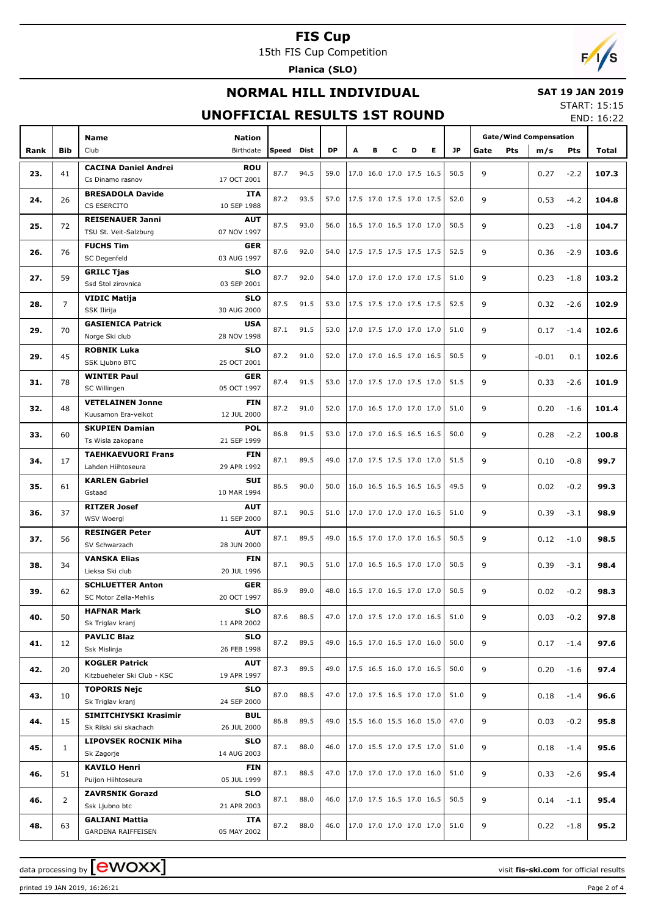15th FIS Cup Competition

**Planica (SLO)**

# $F/1/s$

### **NORMAL HILL INDIVIDUAL**

#### **SAT 19 JAN 2019** START: 15:15

#### **UNOFFICIAL RESULTS 1ST ROUND**

END: 16:22

|      |                | <b>Name</b>                                | <b>Nation</b>             |            |      |           |   |   |   |                          |      | <b>Gate/Wind Compensation</b> |         |            |       |
|------|----------------|--------------------------------------------|---------------------------|------------|------|-----------|---|---|---|--------------------------|------|-------------------------------|---------|------------|-------|
| Rank | <b>Bib</b>     | Club                                       | Birthdate                 | Speed Dist |      | <b>DP</b> | А | в | c | D<br>E.                  | JP.  | Pts<br>Gate                   | m/s     | <b>Pts</b> | Total |
|      |                | <b>CACINA Daniel Andrei</b>                | <b>ROU</b>                |            |      |           |   |   |   |                          |      |                               |         |            |       |
| 23.  | 41             | Cs Dinamo rasnov                           | 17 OCT 2001               | 87.7       | 94.5 | 59.0      |   |   |   | 17.0 16.0 17.0 17.5 16.5 | 50.5 | 9                             | 0.27    | $-2.2$     | 107.3 |
|      |                | <b>BRESADOLA Davide</b>                    | <b>ITA</b>                |            |      |           |   |   |   |                          |      |                               |         |            |       |
| 24.  | 26             | CS ESERCITO                                | 10 SEP 1988               | 87.2       | 93.5 | 57.0      |   |   |   | 17.5 17.0 17.5 17.0 17.5 | 52.0 | 9                             | 0.53    | $-4.2$     | 104.8 |
| 25.  | 72             | <b>REISENAUER Janni</b>                    | <b>AUT</b>                | 87.5       | 93.0 | 56.0      |   |   |   | 16.5 17.0 16.5 17.0 17.0 | 50.5 | 9                             | 0.23    | $-1.8$     | 104.7 |
|      |                | TSU St. Veit-Salzburg                      | 07 NOV 1997               |            |      |           |   |   |   |                          |      |                               |         |            |       |
| 26.  | 76             | <b>FUCHS Tim</b>                           | <b>GER</b>                | 87.6       | 92.0 | 54.0      |   |   |   | 17.5 17.5 17.5 17.5 17.5 | 52.5 | 9                             | 0.36    | $-2.9$     | 103.6 |
|      |                | SC Degenfeld                               | 03 AUG 1997               |            |      |           |   |   |   |                          |      |                               |         |            |       |
| 27.  | 59             | <b>GRILC Tjas</b><br>Ssd Stol zirovnica    | <b>SLO</b><br>03 SEP 2001 | 87.7       | 92.0 | 54.0      |   |   |   | 17.0 17.0 17.0 17.0 17.5 | 51.0 | 9                             | 0.23    | $-1.8$     | 103.2 |
|      |                | <b>VIDIC Matija</b>                        | <b>SLO</b>                |            |      |           |   |   |   |                          |      |                               |         |            |       |
| 28.  | $\overline{7}$ | SSK Ilirija                                | 30 AUG 2000               | 87.5       | 91.5 | 53.0      |   |   |   | 17.5 17.5 17.0 17.5 17.5 | 52.5 | 9                             | 0.32    | $-2.6$     | 102.9 |
|      |                | <b>GASIENICA Patrick</b>                   | <b>USA</b>                |            |      |           |   |   |   |                          |      |                               |         |            |       |
| 29.  | 70             | Norge Ski club                             | 28 NOV 1998               | 87.1       | 91.5 | 53.0      |   |   |   | 17.0 17.5 17.0 17.0 17.0 | 51.0 | 9                             | 0.17    | $-1.4$     | 102.6 |
|      |                | <b>ROBNIK Luka</b>                         | <b>SLO</b>                |            |      |           |   |   |   |                          |      |                               |         |            |       |
| 29.  | 45             | SSK Ljubno BTC                             | 25 OCT 2001               | 87.2       | 91.0 | 52.0      |   |   |   | 17.0 17.0 16.5 17.0 16.5 | 50.5 | 9                             | $-0.01$ | 0.1        | 102.6 |
| 31.  | 78             | <b>WINTER Paul</b>                         | <b>GER</b>                | 87.4       | 91.5 | 53.0      |   |   |   | 17.0 17.5 17.0 17.5 17.0 | 51.5 | 9                             | 0.33    | $-2.6$     | 101.9 |
|      |                | SC Willingen                               | 05 OCT 1997               |            |      |           |   |   |   |                          |      |                               |         |            |       |
| 32.  | 48             | <b>VETELAINEN Jonne</b>                    | <b>FIN</b>                | 87.2       | 91.0 | 52.0      |   |   |   | 17.0 16.5 17.0 17.0 17.0 | 51.0 | 9                             | 0.20    | $-1.6$     | 101.4 |
|      |                | Kuusamon Era-veikot                        | 12 JUL 2000               |            |      |           |   |   |   |                          |      |                               |         |            |       |
| 33.  | 60             | <b>SKUPIEN Damian</b><br>Ts Wisla zakopane | <b>POL</b><br>21 SEP 1999 | 86.8       | 91.5 | 53.0      |   |   |   | 17.0 17.0 16.5 16.5 16.5 | 50.0 | 9                             | 0.28    | $-2.2$     | 100.8 |
|      |                | <b>TAEHKAEVUORI Frans</b>                  | <b>FIN</b>                |            |      |           |   |   |   |                          |      |                               |         |            |       |
| 34.  | 17             | Lahden Hiihtoseura                         | 29 APR 1992               | 87.1       | 89.5 | 49.0      |   |   |   | 17.0 17.5 17.5 17.0 17.0 | 51.5 | 9                             | 0.10    | $-0.8$     | 99.7  |
|      |                | <b>KARLEN Gabriel</b>                      | SUI                       |            |      |           |   |   |   |                          |      |                               |         |            |       |
| 35.  | 61             | Gstaad                                     | 10 MAR 1994               | 86.5       | 90.0 | 50.0      |   |   |   | 16.0 16.5 16.5 16.5 16.5 | 49.5 | 9                             | 0.02    | $-0.2$     | 99.3  |
| 36.  | 37             | <b>RITZER Josef</b>                        | <b>AUT</b>                | 87.1       | 90.5 | 51.0      |   |   |   | 17.0 17.0 17.0 17.0 16.5 | 51.0 | 9                             | 0.39    | $-3.1$     | 98.9  |
|      |                | WSV Woergl                                 | 11 SEP 2000               |            |      |           |   |   |   |                          |      |                               |         |            |       |
| 37.  | 56             | <b>RESINGER Peter</b>                      | <b>AUT</b>                | 87.1       | 89.5 | 49.0      |   |   |   | 16.5 17.0 17.0 17.0 16.5 | 50.5 | 9                             | 0.12    | $-1.0$     | 98.5  |
|      |                | SV Schwarzach                              | 28 JUN 2000               |            |      |           |   |   |   |                          |      |                               |         |            |       |
| 38.  | 34             | <b>VANSKA Elias</b><br>Lieksa Ski club     | <b>FIN</b><br>20 JUL 1996 | 87.1       | 90.5 | 51.0      |   |   |   | 17.0 16.5 16.5 17.0 17.0 | 50.5 | 9                             | 0.39    | $-3.1$     | 98.4  |
|      |                | <b>SCHLUETTER Anton</b>                    | <b>GER</b>                |            |      |           |   |   |   |                          |      |                               |         |            |       |
| 39.  | 62             | SC Motor Zella-Mehlis                      | 20 OCT 1997               | 86.9       | 89.0 | 48.0      |   |   |   | 16.5 17.0 16.5 17.0 17.0 | 50.5 | 9                             | 0.02    | $-0.2$     | 98.3  |
|      |                | <b>HAFNAR Mark</b>                         | <b>SLO</b>                |            |      |           |   |   |   |                          |      |                               |         |            |       |
| 40.  | 50             | Sk Triglav kranj                           | 11 APR 2002               | 87.6       | 88.5 | 47.0      |   |   |   | 17.0 17.5 17.0 17.0 16.5 | 51.0 | 9                             | 0.03    | $-0.2$     | 97.8  |
| 41.  | 12             | <b>PAVLIC Blaz</b>                         | <b>SLO</b>                | 87.2       | 89.5 | 49.0      |   |   |   | 16.5 17.0 16.5 17.0 16.0 | 50.0 | 9                             | 0.17    | $-1.4$     | 97.6  |
|      |                | Ssk Mislinja                               | 26 FEB 1998               |            |      |           |   |   |   |                          |      |                               |         |            |       |
| 42.  | 20             | <b>KOGLER Patrick</b>                      | AUT                       | 87.3       | 89.5 | 49.0      |   |   |   | 17.5 16.5 16.0 17.0 16.5 | 50.0 | 9                             | 0.20    | $-1.6$     | 97.4  |
|      |                | Kitzbueheler Ski Club - KSC                | 19 APR 1997               |            |      |           |   |   |   |                          |      |                               |         |            |       |
| 43.  | 10             | <b>TOPORIS Nejc</b><br>Sk Triglav kranj    | <b>SLO</b><br>24 SEP 2000 | 87.0       | 88.5 | 47.0      |   |   |   | 17.0 17.5 16.5 17.0 17.0 | 51.0 | 9                             | 0.18    | $-1.4$     | 96.6  |
|      |                | SIMITCHIYSKI Krasimir                      | <b>BUL</b>                |            |      |           |   |   |   |                          |      |                               |         |            |       |
| 44.  | 15             | Sk Rilski ski skachach                     | 26 JUL 2000               | 86.8       | 89.5 | 49.0      |   |   |   | 15.5 16.0 15.5 16.0 15.0 | 47.0 | 9                             | 0.03    | $-0.2$     | 95.8  |
|      |                | <b>LIPOVSEK ROCNIK Miha</b>                | <b>SLO</b>                |            |      |           |   |   |   |                          |      |                               |         |            |       |
| 45.  | $\mathbf{1}$   | Sk Zagorje                                 | 14 AUG 2003               | 87.1       | 88.0 | 46.0      |   |   |   | 17.0 15.5 17.0 17.5 17.0 | 51.0 | 9                             | 0.18    | $-1.4$     | 95.6  |
|      |                | <b>KAVILO Henri</b>                        | FIN                       | 87.1       | 88.5 | 47.0      |   |   |   | 17.0 17.0 17.0 17.0 16.0 | 51.0 | 9                             |         |            |       |
| 46.  | 51             | Puijon Hiihtoseura                         | 05 JUL 1999               |            |      |           |   |   |   |                          |      |                               | 0.33    | $-2.6$     | 95.4  |
| 46.  | $\overline{2}$ | <b>ZAVRSNIK Gorazd</b>                     | <b>SLO</b>                | 87.1       | 88.0 | 46.0      |   |   |   | 17.0 17.5 16.5 17.0 16.5 | 50.5 | 9                             | 0.14    | $-1.1$     | 95.4  |
|      |                | Ssk Ljubno btc                             | 21 APR 2003               |            |      |           |   |   |   |                          |      |                               |         |            |       |
| 48.  | 63             | <b>GALIANI Mattia</b>                      | ITA                       | 87.2       | 88.0 | 46.0      |   |   |   | 17.0 17.0 17.0 17.0 17.0 | 51.0 | 9                             | 0.22    | $-1.8$     | 95.2  |
|      |                | GARDENA RAIFFEISEN                         | 05 MAY 2002               |            |      |           |   |   |   |                          |      |                               |         |            |       |

printed 19 JAN 2019, 16:26:21 Page 2 of 4

data processing by **CWOXX**  $\blacksquare$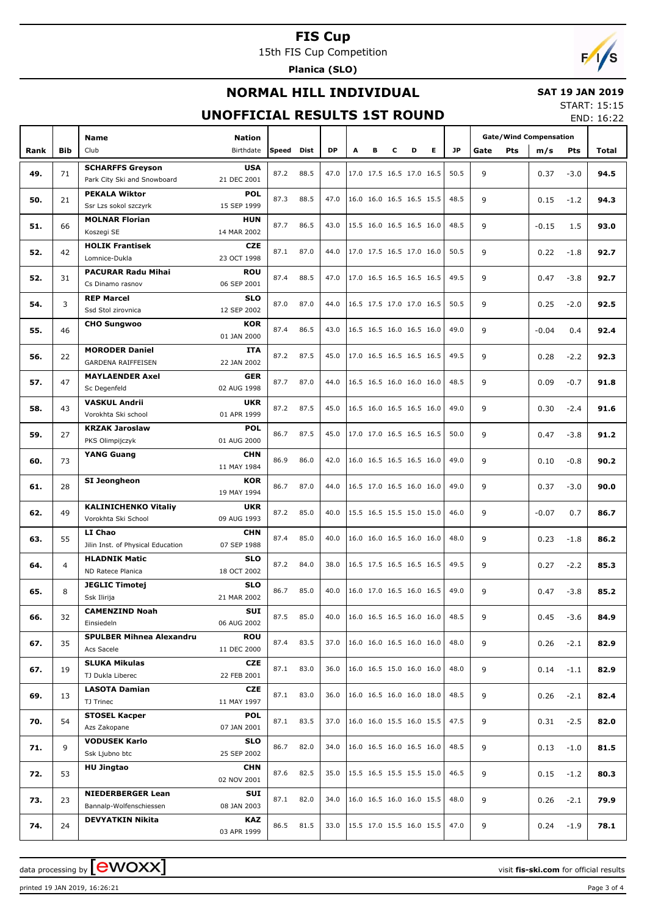15th FIS Cup Competition

**Planica (SLO)**

# $F/1/s$

### **NORMAL HILL INDIVIDUAL**

#### **SAT 19 JAN 2019** START: 15:15

### **UNOFFICIAL RESULTS 1ST ROUND**

END: 16:22

|      |            |                                   |               |       |      |           |   |   |   |                                 |   |      |      |     |      |                                                                                                                                                                                                                                                                                                                                                                                                                                                                                  | ----  |
|------|------------|-----------------------------------|---------------|-------|------|-----------|---|---|---|---------------------------------|---|------|------|-----|------|----------------------------------------------------------------------------------------------------------------------------------------------------------------------------------------------------------------------------------------------------------------------------------------------------------------------------------------------------------------------------------------------------------------------------------------------------------------------------------|-------|
|      |            | <b>Name</b>                       | <b>Nation</b> |       |      |           |   |   |   |                                 |   |      |      |     |      |                                                                                                                                                                                                                                                                                                                                                                                                                                                                                  |       |
|      |            |                                   |               |       |      |           |   |   |   |                                 |   |      |      |     |      |                                                                                                                                                                                                                                                                                                                                                                                                                                                                                  |       |
| Rank | <b>Bib</b> | Club                              | Birthdate     | Speed | Dist | <b>DP</b> | Α | в | c | D                               | Е | JP.  | Gate | Pts |      |                                                                                                                                                                                                                                                                                                                                                                                                                                                                                  | Total |
|      |            | <b>SCHARFFS Greyson</b>           | <b>USA</b>    |       |      |           |   |   |   |                                 |   |      |      |     |      |                                                                                                                                                                                                                                                                                                                                                                                                                                                                                  |       |
| 49.  | 71         | Park City Ski and Snowboard       | 21 DEC 2001   | 87.2  | 88.5 | 47.0      |   |   |   | 17.0 17.5 16.5 17.0 16.5        |   | 50.5 | 9    |     |      |                                                                                                                                                                                                                                                                                                                                                                                                                                                                                  | 94.5  |
|      |            |                                   |               |       |      |           |   |   |   |                                 |   |      |      |     |      | <b>Gate/Wind Compensation</b><br>m/s<br><b>Pts</b><br>0.37<br>$-3.0$<br>0.15<br>$-1.2$<br>$-0.15$<br>1.5<br>0.22<br>$-1.8$<br>0.47<br>$-3.8$<br>0.25<br>$-2.0$<br>$-0.04$<br>0.4<br>0.28<br>$-2.2$<br>0.09<br>$-0.7$<br>0.30<br>$-2.4$<br>0.47<br>$-3.8$<br>0.10<br>$-0.8$<br>0.37<br>$-3.0$<br>$-0.07$<br>0.7<br>0.23<br>$-1.8$<br>0.27<br>$-2.2$<br>0.47<br>$-3.8$<br>0.45<br>$-3.6$<br>0.26<br>$-2.1$<br>$-1.1$<br>0.14<br>0.26<br>$-2.1$<br>$-2.5$<br>0.31<br>$-1.0$<br>0.13 |       |
| 50.  | 21         | <b>PEKALA Wiktor</b>              | <b>POL</b>    | 87.3  | 88.5 | 47.0      |   |   |   | 16.0 16.0 16.5 16.5 15.5        |   | 48.5 | 9    |     |      |                                                                                                                                                                                                                                                                                                                                                                                                                                                                                  | 94.3  |
|      |            | Ssr Lzs sokol szczyrk             | 15 SEP 1999   |       |      |           |   |   |   |                                 |   |      |      |     |      |                                                                                                                                                                                                                                                                                                                                                                                                                                                                                  |       |
|      |            | <b>MOLNAR Florian</b>             | <b>HUN</b>    |       |      |           |   |   |   |                                 |   |      |      |     |      |                                                                                                                                                                                                                                                                                                                                                                                                                                                                                  |       |
| 51.  | 66         | Koszegi SE                        | 14 MAR 2002   | 87.7  | 86.5 | 43.0      |   |   |   | 15.5 16.0 16.5 16.5 16.0        |   | 48.5 | 9    |     |      |                                                                                                                                                                                                                                                                                                                                                                                                                                                                                  | 93.0  |
|      |            | <b>HOLIK Frantisek</b>            | <b>CZE</b>    |       |      |           |   |   |   |                                 |   |      |      |     |      |                                                                                                                                                                                                                                                                                                                                                                                                                                                                                  |       |
| 52.  | 42         |                                   |               | 87.1  | 87.0 | 44.0      |   |   |   | 17.0 17.5 16.5 17.0 16.0        |   | 50.5 | 9    |     |      |                                                                                                                                                                                                                                                                                                                                                                                                                                                                                  | 92.7  |
|      |            | Lomnice-Dukla                     | 23 OCT 1998   |       |      |           |   |   |   |                                 |   |      |      |     |      |                                                                                                                                                                                                                                                                                                                                                                                                                                                                                  |       |
| 52.  | 31         | <b>PACURAR Radu Mihai</b>         | <b>ROU</b>    | 87.4  | 88.5 | 47.0      |   |   |   | 17.0 16.5 16.5 16.5 16.5        |   | 49.5 | 9    |     |      |                                                                                                                                                                                                                                                                                                                                                                                                                                                                                  | 92.7  |
|      |            | Cs Dinamo rasnov                  | 06 SEP 2001   |       |      |           |   |   |   |                                 |   |      |      |     |      |                                                                                                                                                                                                                                                                                                                                                                                                                                                                                  |       |
|      |            | <b>REP Marcel</b>                 | <b>SLO</b>    |       |      |           |   |   |   |                                 |   |      |      |     |      |                                                                                                                                                                                                                                                                                                                                                                                                                                                                                  |       |
| 54.  | 3          | Ssd Stol zirovnica                | 12 SEP 2002   | 87.0  | 87.0 | 44.0      |   |   |   | 16.5 17.5 17.0 17.0 16.5        |   | 50.5 | 9    |     |      |                                                                                                                                                                                                                                                                                                                                                                                                                                                                                  | 92.5  |
|      |            |                                   |               |       |      |           |   |   |   |                                 |   |      |      |     |      |                                                                                                                                                                                                                                                                                                                                                                                                                                                                                  |       |
| 55.  | 46         | <b>CHO Sungwoo</b>                | <b>KOR</b>    | 87.4  | 86.5 | 43.0      |   |   |   | 16.5 16.5 16.0 16.5 16.0        |   | 49.0 | 9    |     |      |                                                                                                                                                                                                                                                                                                                                                                                                                                                                                  | 92.4  |
|      |            |                                   | 01 JAN 2000   |       |      |           |   |   |   |                                 |   |      |      |     |      |                                                                                                                                                                                                                                                                                                                                                                                                                                                                                  |       |
|      |            | <b>MORODER Daniel</b>             | <b>ITA</b>    | 87.2  | 87.5 | 45.0      |   |   |   | 17.0 16.5 16.5 16.5 16.5        |   | 49.5 | 9    |     |      |                                                                                                                                                                                                                                                                                                                                                                                                                                                                                  |       |
| 56.  | 22         | <b>GARDENA RAIFFEISEN</b>         | 22 JAN 2002   |       |      |           |   |   |   |                                 |   |      |      |     |      |                                                                                                                                                                                                                                                                                                                                                                                                                                                                                  | 92.3  |
|      |            | <b>MAYLAENDER Axel</b>            | <b>GER</b>    |       |      |           |   |   |   |                                 |   |      |      |     |      |                                                                                                                                                                                                                                                                                                                                                                                                                                                                                  |       |
| 57.  | 47         | Sc Degenfeld                      | 02 AUG 1998   | 87.7  | 87.0 | 44.0      |   |   |   | 16.5 16.5 16.0 16.0 16.0        |   | 48.5 | 9    |     |      |                                                                                                                                                                                                                                                                                                                                                                                                                                                                                  | 91.8  |
|      |            |                                   |               |       |      |           |   |   |   |                                 |   |      |      |     |      |                                                                                                                                                                                                                                                                                                                                                                                                                                                                                  |       |
| 58.  | 43         | <b>VASKUL Andrii</b>              | <b>UKR</b>    | 87.2  | 87.5 | 45.0      |   |   |   | 16.5 16.0 16.5 16.5 16.0        |   | 49.0 | 9    |     |      |                                                                                                                                                                                                                                                                                                                                                                                                                                                                                  | 91.6  |
|      |            | Vorokhta Ski school               | 01 APR 1999   |       |      |           |   |   |   |                                 |   |      |      |     |      |                                                                                                                                                                                                                                                                                                                                                                                                                                                                                  |       |
|      |            | <b>KRZAK Jaroslaw</b>             | <b>POL</b>    |       |      |           |   |   |   |                                 |   |      |      |     |      |                                                                                                                                                                                                                                                                                                                                                                                                                                                                                  |       |
| 59.  | 27         | PKS Olimpijczyk                   | 01 AUG 2000   | 86.7  | 87.5 | 45.0      |   |   |   | 17.0 17.0 16.5 16.5 16.5        |   | 50.0 | 9    |     |      |                                                                                                                                                                                                                                                                                                                                                                                                                                                                                  | 91.2  |
|      |            | <b>YANG Guang</b>                 | <b>CHN</b>    |       |      |           |   |   |   |                                 |   |      |      |     |      |                                                                                                                                                                                                                                                                                                                                                                                                                                                                                  |       |
| 60.  | 73         |                                   |               | 86.9  | 86.0 | 42.0      |   |   |   | 16.0 16.5 16.5 16.5 16.0        |   | 49.0 | 9    |     |      |                                                                                                                                                                                                                                                                                                                                                                                                                                                                                  | 90.2  |
|      |            |                                   | 11 MAY 1984   |       |      |           |   |   |   |                                 |   |      |      |     |      |                                                                                                                                                                                                                                                                                                                                                                                                                                                                                  |       |
| 61.  | 28         | SI Jeongheon                      | <b>KOR</b>    | 86.7  | 87.0 | 44.0      |   |   |   | 16.5 17.0 16.5 16.0 16.0        |   | 49.0 | 9    |     |      |                                                                                                                                                                                                                                                                                                                                                                                                                                                                                  | 90.0  |
|      |            |                                   | 19 MAY 1994   |       |      |           |   |   |   |                                 |   |      |      |     |      |                                                                                                                                                                                                                                                                                                                                                                                                                                                                                  |       |
|      |            | <b>KALINICHENKO Vitaliy</b>       | <b>UKR</b>    |       |      |           |   |   |   |                                 |   |      |      |     |      |                                                                                                                                                                                                                                                                                                                                                                                                                                                                                  |       |
| 62.  | 49         | Vorokhta Ski School               | 09 AUG 1993   | 87.2  | 85.0 | 40.0      |   |   |   | 15.5 16.5 15.5 15.0 15.0        |   | 46.0 | 9    |     |      |                                                                                                                                                                                                                                                                                                                                                                                                                                                                                  | 86.7  |
|      |            |                                   |               |       |      |           |   |   |   |                                 |   |      |      |     |      |                                                                                                                                                                                                                                                                                                                                                                                                                                                                                  |       |
| 63.  | 55         | LI Chao                           | <b>CHN</b>    | 87.4  | 85.0 | 40.0      |   |   |   | 16.0 16.0 16.5 16.0 16.0        |   | 48.0 | 9    |     |      |                                                                                                                                                                                                                                                                                                                                                                                                                                                                                  | 86.2  |
|      |            | Jilin Inst. of Physical Education | 07 SEP 1988   |       |      |           |   |   |   |                                 |   |      |      |     |      |                                                                                                                                                                                                                                                                                                                                                                                                                                                                                  |       |
|      |            | <b>HLADNIK Matic</b>              | <b>SLO</b>    |       |      |           |   |   |   | 16.5 17.5 16.5 16.5 16.5        |   |      |      |     |      |                                                                                                                                                                                                                                                                                                                                                                                                                                                                                  |       |
| 64.  | 4          | ND Ratece Planica                 | 18 OCT 2002   | 87.2  | 84.0 | 38.0      |   |   |   |                                 |   | 49.5 | 9    |     |      |                                                                                                                                                                                                                                                                                                                                                                                                                                                                                  | 85.3  |
|      |            | <b>JEGLIC Timotej</b>             | <b>SLO</b>    |       |      |           |   |   |   |                                 |   |      |      |     |      |                                                                                                                                                                                                                                                                                                                                                                                                                                                                                  |       |
| 65.  | 8          | Ssk Ilirija                       | 21 MAR 2002   | 86.7  | 85.0 | 40.0      |   |   |   | 16.0 17.0 16.5 16.0 16.5        |   | 49.0 | 9    |     |      |                                                                                                                                                                                                                                                                                                                                                                                                                                                                                  | 85.2  |
|      |            |                                   |               |       |      |           |   |   |   |                                 |   |      |      |     |      |                                                                                                                                                                                                                                                                                                                                                                                                                                                                                  |       |
| 66.  | 32         | <b>CAMENZIND Noah</b>             | SUI           | 87.5  | 85.0 | 40.0      |   |   |   | 16.0 16.5 16.5 16.0 16.0        |   | 48.5 | 9    |     |      |                                                                                                                                                                                                                                                                                                                                                                                                                                                                                  | 84.9  |
|      |            | Einsiedeln                        | 06 AUG 2002   |       |      |           |   |   |   |                                 |   |      |      |     |      |                                                                                                                                                                                                                                                                                                                                                                                                                                                                                  |       |
|      |            | <b>SPULBER Mihnea Alexandru</b>   | <b>ROU</b>    |       |      |           |   |   |   |                                 |   |      |      |     |      |                                                                                                                                                                                                                                                                                                                                                                                                                                                                                  |       |
| 67.  | 35         | Acs Sacele                        | 11 DEC 2000   | 87.4  | 83.5 | 37.0      |   |   |   | 16.0 16.0 16.5 16.0 16.0        |   | 48.0 | 9    |     |      |                                                                                                                                                                                                                                                                                                                                                                                                                                                                                  | 82.9  |
|      |            | <b>SLUKA Mikulas</b>              | <b>CZE</b>    |       |      |           |   |   |   |                                 |   |      |      |     |      |                                                                                                                                                                                                                                                                                                                                                                                                                                                                                  |       |
| 67.  | 19         |                                   |               | 87.1  | 83.0 | 36.0      |   |   |   | 16.0 16.5 15.0 16.0 16.0        |   | 48.0 | 9    |     |      |                                                                                                                                                                                                                                                                                                                                                                                                                                                                                  | 82.9  |
|      |            | TJ Dukla Liberec                  | 22 FEB 2001   |       |      |           |   |   |   |                                 |   |      |      |     |      |                                                                                                                                                                                                                                                                                                                                                                                                                                                                                  |       |
| 69.  | 13         | <b>LASOTA Damian</b>              | CZE           | 87.1  | 83.0 | 36.0      |   |   |   | 16.0 16.5 16.0 16.0 18.0        |   | 48.5 | 9    |     |      |                                                                                                                                                                                                                                                                                                                                                                                                                                                                                  | 82.4  |
|      |            | TJ Trinec                         | 11 MAY 1997   |       |      |           |   |   |   |                                 |   |      |      |     |      |                                                                                                                                                                                                                                                                                                                                                                                                                                                                                  |       |
|      |            | <b>STOSEL Kacper</b>              | <b>POL</b>    |       |      |           |   |   |   |                                 |   |      |      |     |      |                                                                                                                                                                                                                                                                                                                                                                                                                                                                                  |       |
| 70.  | 54         | Azs Zakopane                      | 07 JAN 2001   | 87.1  | 83.5 | 37.0      |   |   |   | 16.0 16.0 15.5 16.0 15.5        |   | 47.5 | 9    |     |      |                                                                                                                                                                                                                                                                                                                                                                                                                                                                                  | 82.0  |
|      |            |                                   |               |       |      |           |   |   |   |                                 |   |      |      |     |      |                                                                                                                                                                                                                                                                                                                                                                                                                                                                                  |       |
| 71.  | 9          | <b>VODUSEK Karlo</b>              | <b>SLO</b>    | 86.7  | 82.0 | 34.0      |   |   |   | 16.0 16.5 16.0 16.5 16.0        |   | 48.5 | 9    |     |      |                                                                                                                                                                                                                                                                                                                                                                                                                                                                                  | 81.5  |
|      |            | Ssk Ljubno btc                    | 25 SEP 2002   |       |      |           |   |   |   |                                 |   |      |      |     |      |                                                                                                                                                                                                                                                                                                                                                                                                                                                                                  |       |
| 72.  | 53         | <b>HU Jingtao</b>                 | <b>CHN</b>    | 87.6  | 82.5 | 35.0      |   |   |   | 15.5 16.5 15.5 15.5 15.0        |   | 46.5 | 9    |     |      |                                                                                                                                                                                                                                                                                                                                                                                                                                                                                  | 80.3  |
|      |            |                                   | 02 NOV 2001   |       |      |           |   |   |   |                                 |   |      |      |     | 0.15 | $-1.2$                                                                                                                                                                                                                                                                                                                                                                                                                                                                           |       |
|      |            | <b>NIEDERBERGER Lean</b>          | SUI           |       |      |           |   |   |   |                                 |   |      |      |     |      |                                                                                                                                                                                                                                                                                                                                                                                                                                                                                  |       |
| 73.  | 23         | Bannalp-Wolfenschiessen           | 08 JAN 2003   | 87.1  | 82.0 | 34.0      |   |   |   | 16.0 16.5 16.0 16.0 15.5        |   | 48.0 | 9    |     | 0.26 | $-2.1$                                                                                                                                                                                                                                                                                                                                                                                                                                                                           | 79.9  |
|      |            |                                   |               |       |      |           |   |   |   |                                 |   |      |      |     |      |                                                                                                                                                                                                                                                                                                                                                                                                                                                                                  |       |
| 74.  | 24         | <b>DEVYATKIN Nikita</b>           | KAZ           | 86.5  | 81.5 |           |   |   |   | 33.0   15.5 17.0 15.5 16.0 15.5 |   | 47.0 | 9    |     | 0.24 | $-1.9$                                                                                                                                                                                                                                                                                                                                                                                                                                                                           | 78.1  |
|      |            |                                   | 03 APR 1999   |       |      |           |   |   |   |                                 |   |      |      |     |      |                                                                                                                                                                                                                                                                                                                                                                                                                                                                                  |       |

printed 19 JAN 2019, 16:26:21 Page 3 of 4

data processing by **CWOXX** and  $\overline{C}$  and  $\overline{C}$  and  $\overline{C}$  and  $\overline{C}$  and  $\overline{C}$  and  $\overline{C}$  and  $\overline{C}$  and  $\overline{C}$  and  $\overline{C}$  and  $\overline{C}$  and  $\overline{C}$  and  $\overline{C}$  and  $\overline{C}$  and  $\overline{C}$  and  $\overline{C}$